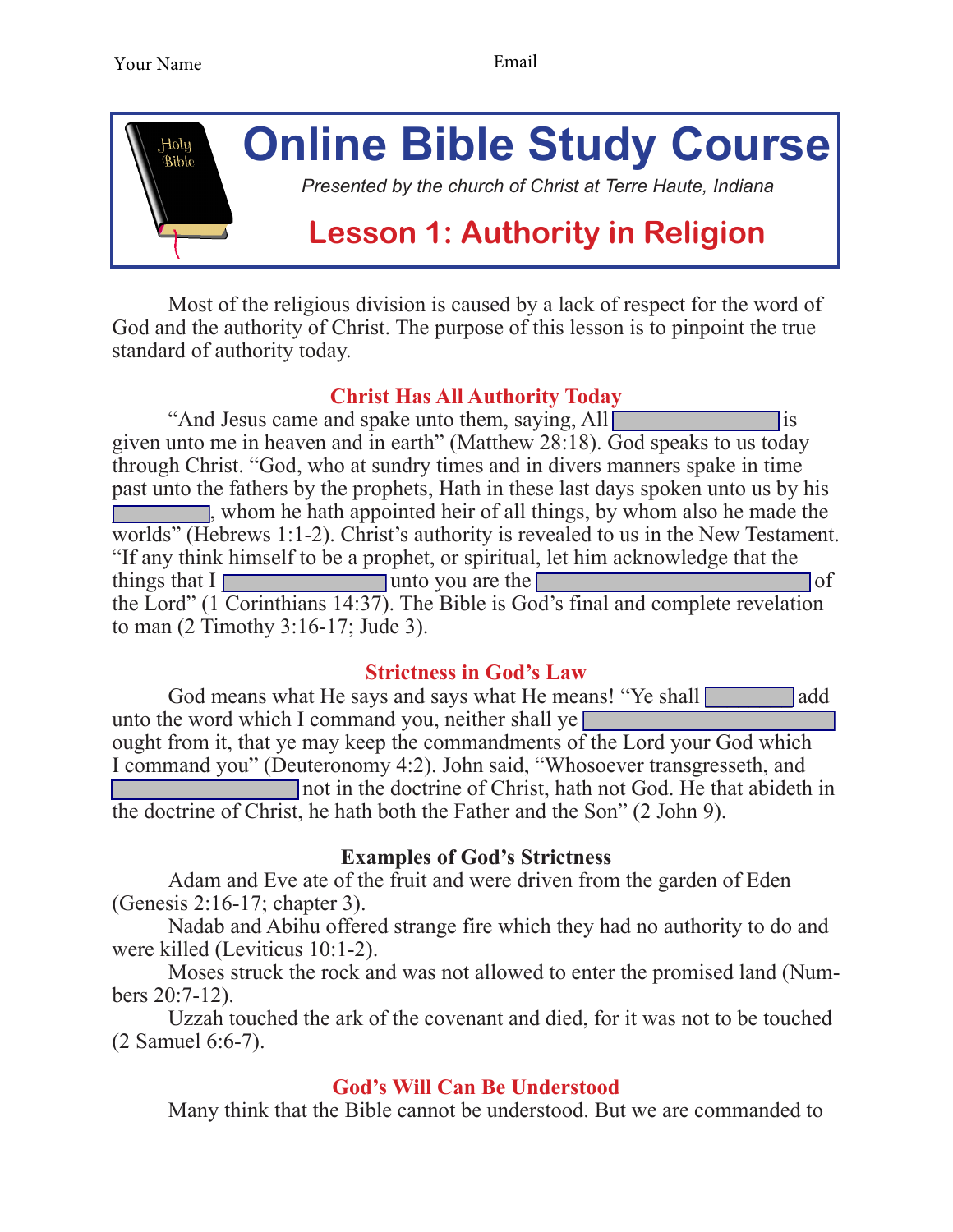

Most of the religious division is caused by a lack of respect for the word of God and the authority of Christ. The purpose of this lesson is to pinpoint the true standard of authority today.

# **Christ Has All Authority Today**

"And Jesus came and spake unto them, saying, All given unto me in heaven and in earth" (Matthew 28:18). God speaks to us today through Christ. "God, who at sundry times and in divers manners spake in time past unto the fathers by the prophets, Hath in these last days spoken unto us by his  $\Box$ , whom he hath appointed heir of all things, by whom also he made the worlds" (Hebrews 1:1-2). Christ's authority is revealed to us in the New Testament. "If any think himself to be a prophet, or spiritual, let him acknowledge that the things that  $I \Box$  unto you are the  $\Box$ the Lord" (1 Corinthians 14:37). The Bible is God's final and complete revelation to man (2 Timothy 3:16-17; Jude 3).

# **Strictness in God's Law**

God means what He says and says what He means! "Ye shall add unto the word which I command you, neither shall ye ought from it, that ye may keep the commandments of the Lord your God which I command you" (Deuteronomy 4:2). John said, "Whosoever transgresseth, and \_\_\_\_\_\_\_\_\_\_\_\_\_\_\_\_\_ not in the doctrine of Christ, hath not God. He that abideth in the doctrine of Christ, he hath both the Father and the Son" (2 John 9).

### **Examples of God's Strictness**

Adam and Eve ate of the fruit and were driven from the garden of Eden (Genesis 2:16-17; chapter 3).

Nadab and Abihu offered strange fire which they had no authority to do and were killed (Leviticus 10:1-2).

Moses struck the rock and was not allowed to enter the promised land (Numbers 20:7-12).

Uzzah touched the ark of the covenant and died, for it was not to be touched (2 Samuel 6:6-7).

# **God's Will Can Be Understood**

Many think that the Bible cannot be understood. But we are commanded to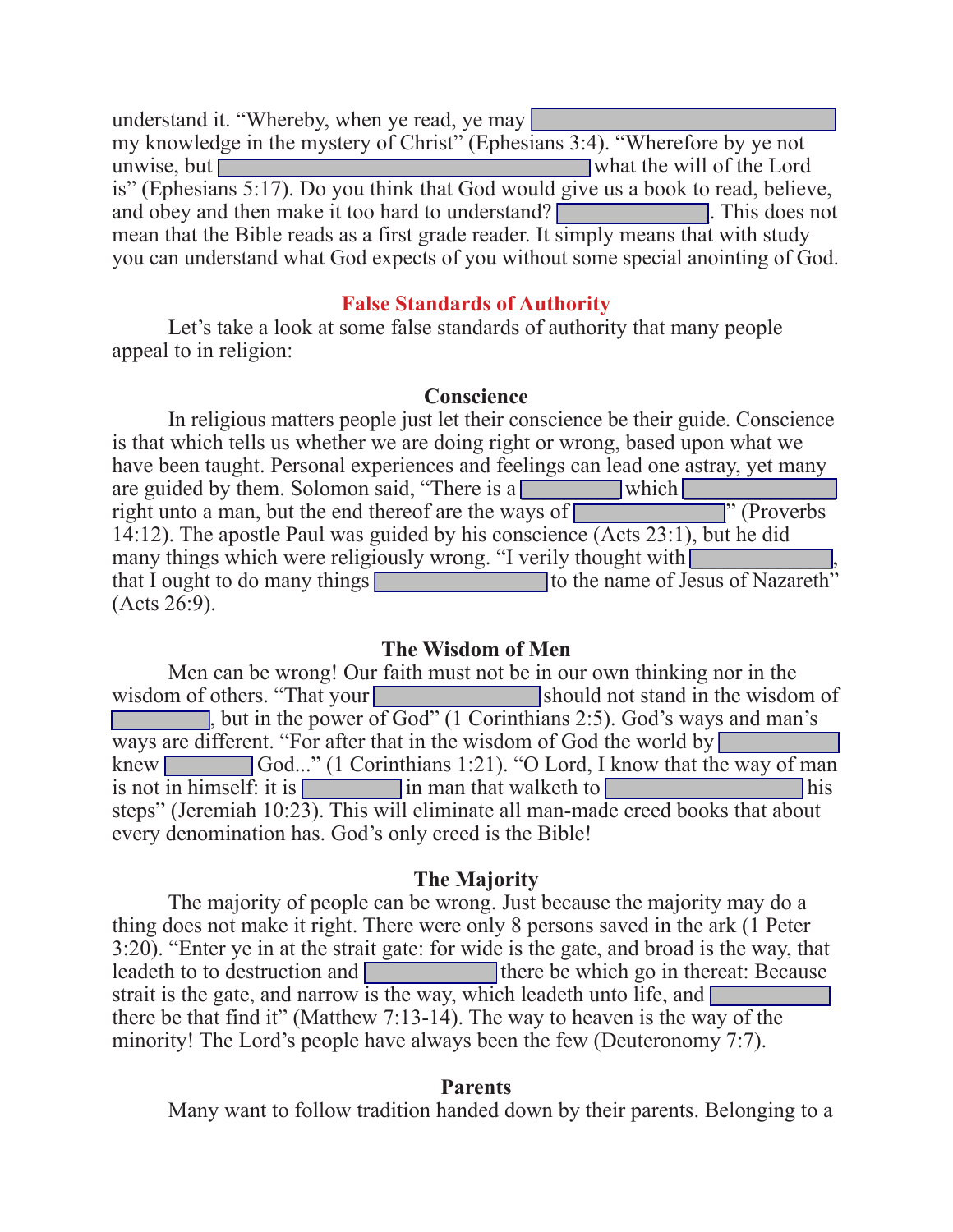understand it. "Whereby, when ye read, ye may my knowledge in the mystery of Christ" (Ephesians 3:4). "Wherefore by ye not unwise, but will of the Lord is" (Ephesians 5:17). Do you think that God would give us a book to read, believe, and obey and then make it too hard to understand? mean that the Bible reads as a first grade reader. It simply means that with study you can understand what God expects of you without some special anointing of God.

#### **False Standards of Authority**

 Let's take a look at some false standards of authority that many people appeal to in religion:

#### **Conscience**

 In religious matters people just let their conscience be their guide. Conscience is that which tells us whether we are doing right or wrong, based upon what we have been taught. Personal experiences and feelings can lead one astray, yet many are guided by them. Solomon said, "There is a which  $\lceil$ right unto a man, but the end thereof are the ways of  $\blacksquare$  . (Proverbs 14:12). The apostle Paul was guided by his conscience (Acts 23:1), but he did many things which were religiously wrong. "I verily thought with  $\Box$ that I ought to do many things the state of Jesus of Nazareth" (Acts 26:9).

#### **The Wisdom of Men**

 Men can be wrong! Our faith must not be in our own thinking nor in the wisdom of others. "That your should not stand in the wisdom of  $\blacksquare$ , but in the power of God" (1 Corinthians 2:5). God's ways and man's ways are different. "For after that in the wisdom of God the world by  $\Box$ knew  $\Box$  God..." (1 Corinthians 1:21). "O Lord, I know that the way of man is not in himself: it is \_\_\_\_\_\_\_\_\_ in man that walketh to \_\_\_\_\_\_\_\_\_\_\_\_\_\_\_\_\_\_ his steps" (Jeremiah 10:23). This will eliminate all man-made creed books that about every denomination has. God's only creed is the Bible!

#### **The Majority**

 The majority of people can be wrong. Just because the majority may do a thing does not make it right. There were only 8 persons saved in the ark (1 Peter 3:20). "Enter ye in at the strait gate: for wide is the gate, and broad is the way, that leadeth to to destruction and **there** be which go in thereat: Because strait is the gate, and narrow is the way, which leadeth unto life, and  $\Box$ there be that find it" (Matthew 7:13-14). The way to heaven is the way of the minority! The Lord's people have always been the few (Deuteronomy 7:7).

#### **Parents**

 Many want to follow tradition handed down by their parents. Belonging to a